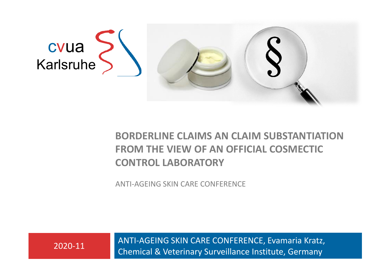

#### **BORDERLINE CLAIMS AN CLAIM SUBSTANTIATION FROM THE VIEW OF AN OFFICIAL COSMECTIC CONTROL LABORATORY**

ANTI-AGEING SKIN CARE CONFERENCE

ANTI-AGEING SKIN CARE CONFERENCE, Evamaria Kratz, Chemical & Veterinary Surveillance Institute, Germany 2020-11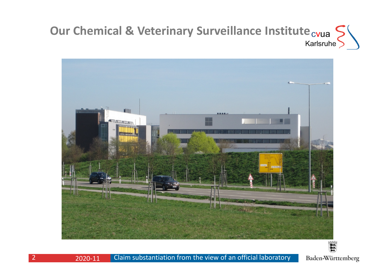# **Our Chemical & Veterinary Surveillance Institute**  $_{\text{cvua}}$



Baden-Württemberg

2020-11

Claim substantiation from the view of an official laboratory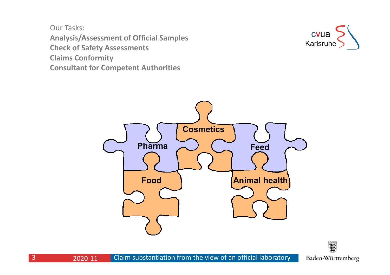Our Tasks: **Analysis/Assessment of Official SamplesCheck of Safety AssessmentsClaims ConformityConsultant for Competent Authorities** 



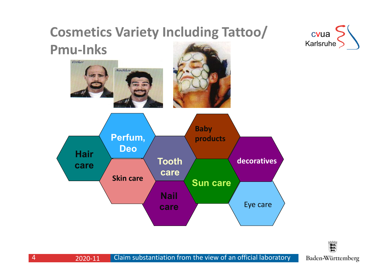### **Cosmetics Variety Including Tattoo/**





#### 穀 Baden-Württemberg

4

 2020-11Claim substantiation from the view of an official laboratory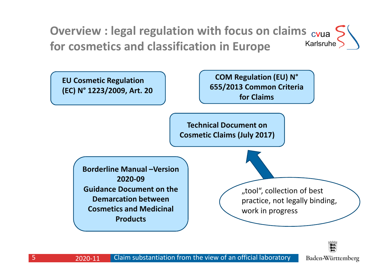





5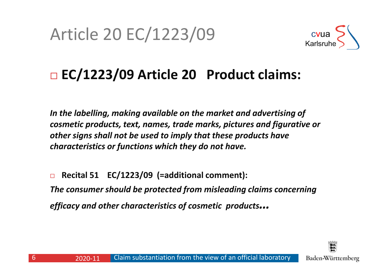# Article 20 EC/1223/09



#### $\blacksquare$ **EC/1223/09 Article 20 Product claims:**

*In the labelling, making available on the market and advertising of cosmetic products, text, names, trade marks, pictures and figurative or other signs shall not be used to imply that these products have characteristics or functions which they do not have.*

 $\Box$  **Recital 51 EC/1223/09 (=additional comment):** *The consumer should be protected from misleading claims concerning efficacy and other characteristics of cosmetic products…*

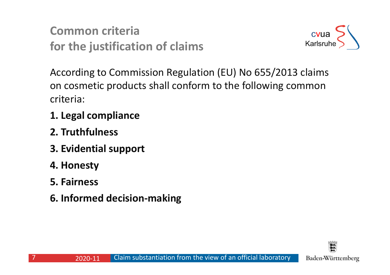**Common criteriafor the justification of claims**



According to Commission Regulation (EU) No 655/2013 claims on cosmetic products shall conform to the following common criteria:

- **1. Legal compliance**
- **2. Truthfulness**
- **3. Evidential support**
- **4. Honesty**
- **5. Fairness**
- **6. Informed decision-making**

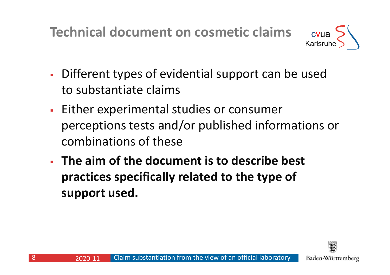**Technical document on cosmetic claims**



- Different types of evidential support can be usedto substantiate claims
- Either experimental studies or consumer perceptions tests and/or published informations or combinations of these
- **The aim of the document is to describe best practices specifically related to the type of support used.**



8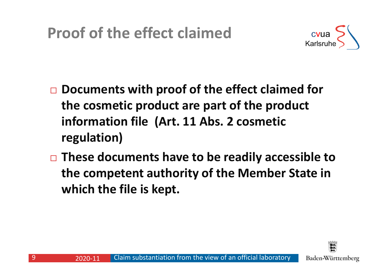

- $\Box$  **Documents with proof of the effect claimed for the cosmetic product are part of the product information file (Art. 11 Abs. 2 cosmetic regulation)**
- **These documents have to be readily accessible to the competent authority of the Member State in which the file is kept.**



9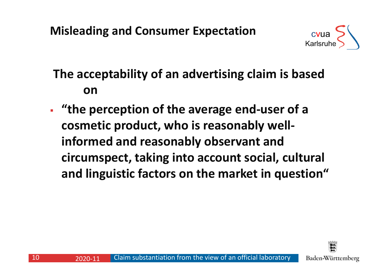

### **The acceptability of an advertising claim is based on**

- **"the perception of the average end-user of <sup>a</sup> cosmetic product, who is reasonably wellinformed and reasonably observant and circumspect, taking into account social, cultural and linguistic factors on the market in question"**

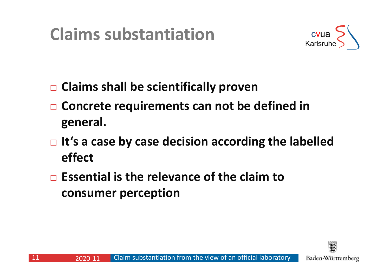## **Claims substantiation**



- **Claims shall be scientifically proven**
- $\Box$  **Concrete requirements can not be defined in general.**
- **It's a case by case decision according the labelledeffect**
- **Essential is the relevance of the claim to consumer perception**

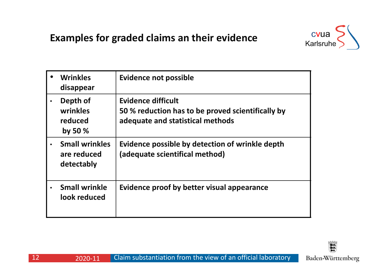#### **Examples for graded claims an their evidence**



|           | <b>Wrinkles</b><br>disappear                       | <b>Evidence not possible</b>                                                                                       |
|-----------|----------------------------------------------------|--------------------------------------------------------------------------------------------------------------------|
| $\bullet$ | Depth of<br>wrinkles<br>reduced<br>by 50 $%$       | <b>Evidence difficult</b><br>50 % reduction has to be proved scientifically by<br>adequate and statistical methods |
|           | <b>Small wrinkles</b><br>are reduced<br>detectably | Evidence possible by detection of wrinkle depth<br>(adequate scientifical method)                                  |
|           | <b>Small wrinkle</b><br>look reduced               | Evidence proof by better visual appearance                                                                         |



Claim substantiation from the view of an official laboratory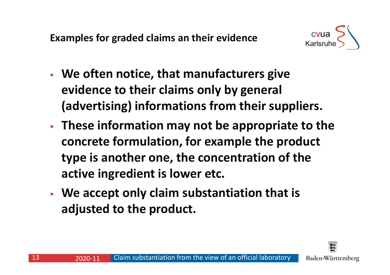**Examples for graded claims an their evidence**



- **We often notice, that manufacturers give evidence to their claims only by general (advertising) informations from their suppliers.**
- **These information may not be appropriate to the concrete formulation, for example the product type is another one, the concentration of the active ingredient is lower etc.**
- **We accept only claim substantiation that is adjusted to the product.**

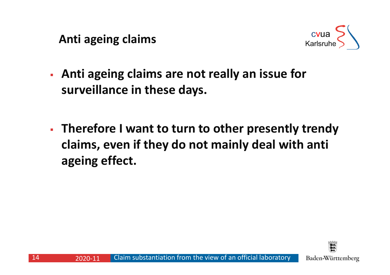**Anti ageing claims**



- **Anti ageing claims are not really an issue for surveillance in these days.**
- **Therefore I want to turn to other presently trendy claims, even if they do not mainly deal with anti ageing effect.**

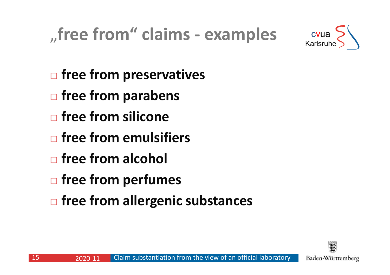



- $\blacksquare$ **free from preservatives**
- $\blacksquare$ **free from parabens**
- $\blacksquare$ **free from silicone**
- $\Box$ **free from emulsifiers**
- $\Box$ **free from alcohol**
- $\Box$ **free from perfumes**
- $\Box$ **free from allergenic substances**

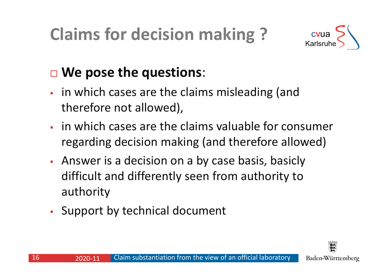# **Claims for decision making ?**



## **We pose the questions**:

- in which cases are the claims misleading (andtherefore not allowed),
- **iour in which cases are the claims valuable for consumer** regarding decision making (and therefore allowed)
- - Answer is a decision on a by case basis, basicly difficult and differently seen from authority to<br>authority authority
- -Support by technical document

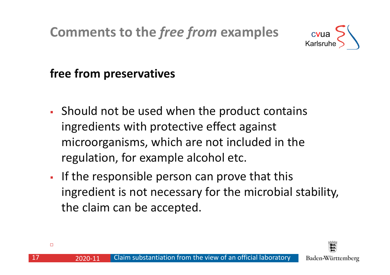## **Comments to the** *free from* **examples**



#### **free from preservatives**

- - Should not be used when the product contains ingredients with protective effect against microorganisms, which are not included in the regulation, for example alcohol etc.
- If the responsible person can prove that this ingredient is not necessary for the microbial stability, the claim can be accepted.



17

2020-11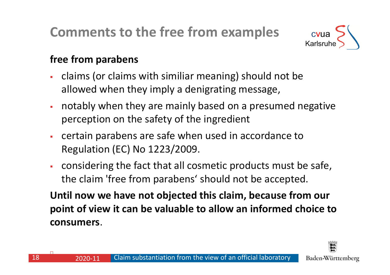# **Comments to the free from examples**



#### **free from parabens**

- claims (or claims with similiar meaning) should not be allowed when they imply a denigrating message,
- notably when they are mainly based on a presumed negative perception on the safety of the ingredient
- certain parabens are safe when used in accordance to Regulation (EC) No 1223/2009.
- considering the fact that all cosmetic products must be safe, the claim 'free from parabens' should not be accepted.

**Until now we have not objected this claim, because from our point of view it can be valuable to allow an informed choice to consumers**.



□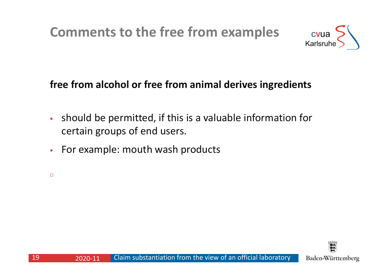## **Comments to the free from examples**



### **free from alcohol or free from animal derives ingredients**

- should be permitted, if this is a valuable information for certain groups of end users.
- -For example: mouth wash products

 $\Box$ 

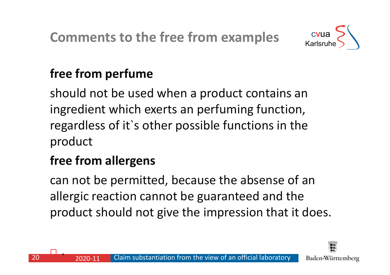

## **free from perfume**

should not be used when a product contains an ingredient which exerts an perfuming function, regardless of it`s other possible functions in the product

## **free from allergens**

can not be permitted, because the absense of an allergic reaction cannot be guaranteed and the product should not give the impression that it does.



 $\Box$ .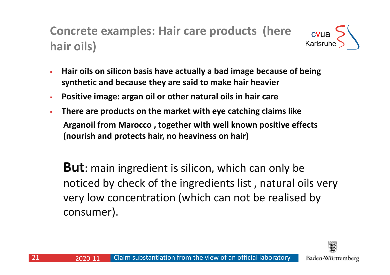**Concrete examples: Hair care products (here** cvua Karlsruhe **hair oils)**

- - **Hair oils on silicon basis have actually a bad image because of being synthetic and because they are said to make hair heavier**
- -**Positive image: argan oil or other natural oils in hair care**
- - **There are products on the market with eye catching claims like Arganoil from Marocco , together with well known positive effects (nourish and protects hair, no heaviness on hair)**

**But**: main ingredient is silicon, which can only be noticed by check of the ingredients list , natural oils very very low concentration (which can not be realised by consumer).

Claim substantiation from the view of an official laboratory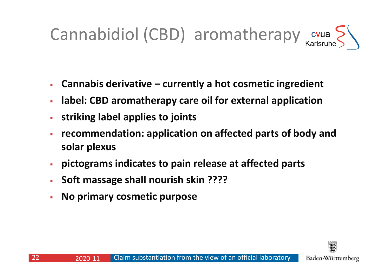## Cannabidiol (CBD) aromatherapy cvua

- -**Cannabis derivative – currently a hot cosmetic ingredient**
- **label: CBD aromatherapy care oil for external application**
- **striking label applies to joints**
- **recommendation: application on affected parts of body andsolar plexus**
- **pictograms indicates to pain release at affected parts**
- -**Soft massage shall nourish skin ????**
- -**No primary cosmetic purpose**

Claim substantiation from the view of an official laboratory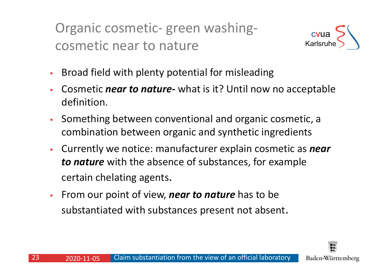Organic cosmetic- green washingcosmetic near to nature



- -Broad field with plenty potential for misleading
- -**• Cosmetic** *near to nature***-** what is it? Until now no acceptable definition.
- - Something between conventional and organic cosmetic, a combination between organic and synthetic ingredients
- - Currently we notice: manufacturer explain cosmetic as *near to nature* with the absence of substances, for example certain chelating agents.
- -From our point of view, *near to nature* has to be substantiated with substances present not absent.

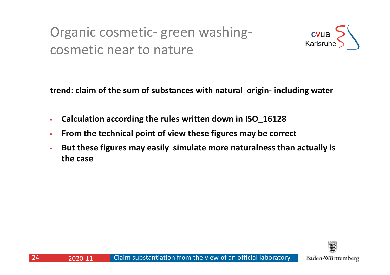### Organic cosmetic- green washingcosmetic near to nature



**trend: claim of the sum of substances with natural origin- including water**

- -**Calculation according the rules written down in ISO\_16128**
- -**From the technical point of view these figures may be correct**
- - **But these figures may easily simulate more naturalness than actually is the case**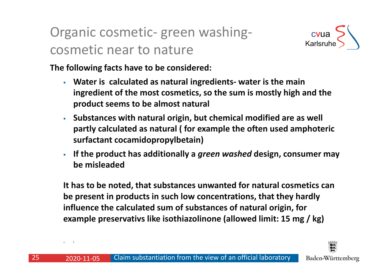### Organic cosmetic- green washingcosmetic near to nature



**The following facts have to be considered:**

- **Water is calculated as natural ingredients- water is the main ingredient of the most cosmetics, so the sum is mostly high and the product seems to be almost natural**
- **Substances with natural origin, but chemical modified are as well partly calculated as natural ( for example the often used amphoteric surfactant cocamidopropylbetain)**
- - **If the product has additionally <sup>a</sup>***green washed* **design, consumer may be misleaded**

**It has to be noted, that substances unwanted for natural cosmetics canbe present in products in such low concentrations, that they hardly influence the calculated sum of substances of natural origin, for example preservativs like isothiazolinone (allowed limit: 15 mg / kg)**



 $\Box$ 

2020-11-05 <sup>I</sup>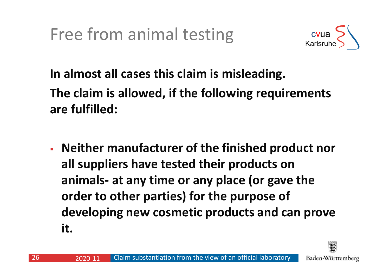Free from animal testing



**In almost all cases this claim is misleading. The claim is allowed, if the following requirements are fulfilled:**

 **Neither manufacturer of the finished product nor all suppliers have tested their products on animals- at any time or any place (or gave the order to other parties) for the purpose of developing new cosmetic products and can prove it.** 

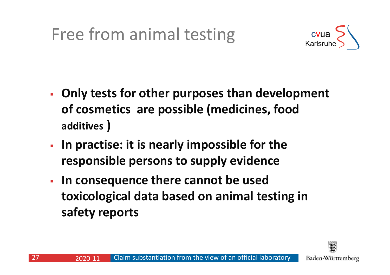# Free from animal testing



- **Only tests for other purposes than development of cosmetics are possible (medicines, foodadditives )**
- **In practise: it is nearly impossible for the responsible persons to supply evidence**
- **In consequence there cannot be used toxicological data based on animal testing in safety reports**

27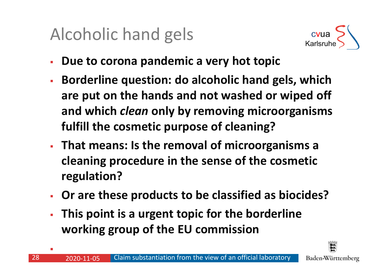# Alcoholic hand gels



- -**Due to corona pandemic a very hot topic**
- - **Borderline question: do alcoholic hand gels, which are put on the hands and not washed or wiped off and which** *clean* **only by removing microorganisms fulfill the cosmetic purpose of cleaning?**
- **That means: Is the removal of microorganisms <sup>a</sup> cleaning procedure in the sense of the cosmetic regulation?**
- -**Or are these products to be classified as biocides?**
- **This point is a urgent topic for the borderline working group of the EU commission**

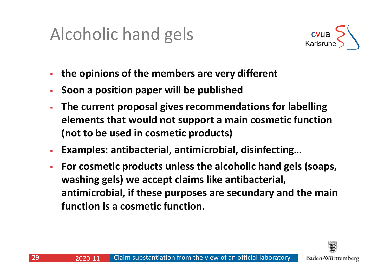# Alcoholic hand gels



- **the opinions of the members are very different**
- -**Soon a position paper will be published**
- - **The current proposal gives recommendations for labelling elements that would not support a main cosmetic function(not to be used in cosmetic products)**
- -**Examples: antibacterial, antimicrobial, disinfecting…**
- - **For cosmetic products unless the alcoholic hand gels (soaps, washing gels) we accept claims like antibacterial, antimicrobial, if these purposes are secundary and the mainfunction is a cosmetic function.**